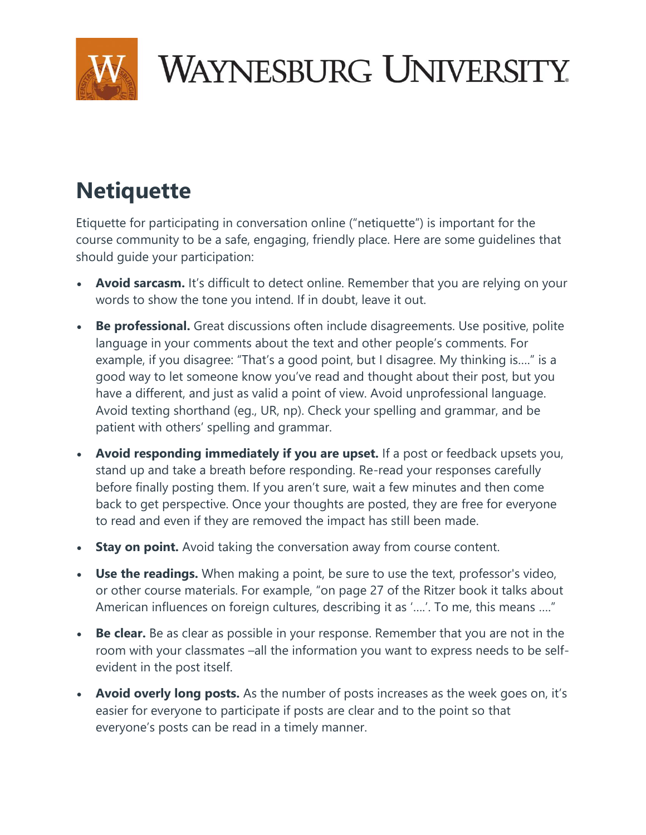

## **WAYNESBURG UNIVERSITY**

## **Netiquette**

Etiquette for participating in conversation online ("netiquette") is important for the course community to be a safe, engaging, friendly place. Here are some guidelines that should guide your participation:

- **Avoid sarcasm.** It's difficult to detect online. Remember that you are relying on your words to show the tone you intend. If in doubt, leave it out.
- **Be professional.** Great discussions often include disagreements. Use positive, polite language in your comments about the text and other people's comments. For example, if you disagree: "That's a good point, but I disagree. My thinking is…." is a good way to let someone know you've read and thought about their post, but you have a different, and just as valid a point of view. Avoid unprofessional language. Avoid texting shorthand (eg., UR, np). Check your spelling and grammar, and be patient with others' spelling and grammar.
- **Avoid responding immediately if you are upset.** If a post or feedback upsets you, stand up and take a breath before responding. Re-read your responses carefully before finally posting them. If you aren't sure, wait a few minutes and then come back to get perspective. Once your thoughts are posted, they are free for everyone to read and even if they are removed the impact has still been made.
- **Stay on point.** Avoid taking the conversation away from course content.
- **Use the readings.** When making a point, be sure to use the text, professor's video, or other course materials. For example, "on page 27 of the Ritzer book it talks about American influences on foreign cultures, describing it as '….'. To me, this means …."
- **Be clear.** Be as clear as possible in your response. Remember that you are not in the room with your classmates –all the information you want to express needs to be selfevident in the post itself.
- **Avoid overly long posts.** As the number of posts increases as the week goes on, it's easier for everyone to participate if posts are clear and to the point so that everyone's posts can be read in a timely manner.